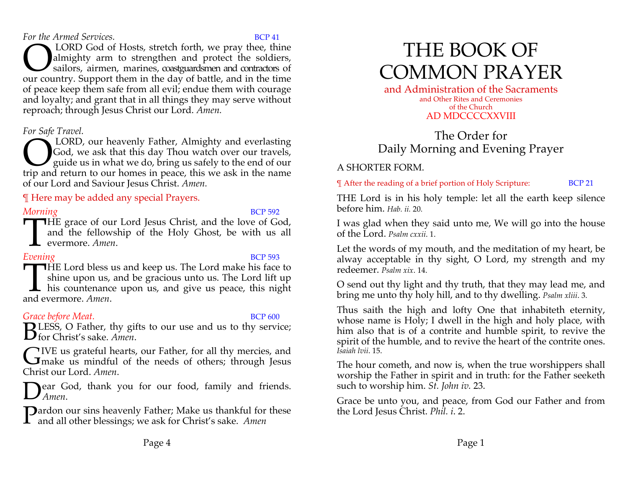*For the Armed Services.* **BCP 41** 

 LORD God of Hosts, stretch forth, we pray thee, thine almighty arm to strengthen and protect the soldiers, sailors, airmen, marines, coastguardsmen and contractors of **CORD** God of Hosts, stretch forth, we pray thee, thine almighty arm to strengthen and protect the soldiers, sailors, airmen, marines, coastguardsmen and contractors of our country. Support them in the day of battle, and i of peace keep them safe from all evil; endue them with courage and loyalty; and grant that in all things they may serve without reproach; through Jesus Christ our Lord. *Amen.* 

## *For Safe Travel.*

LORD, our heavenly Father, Almighty and everlasting God, we ask that this day Thou watch over our travels, guide us in what we do, bring us safely to the end of our **CORD**, our heavenly Father, Almighty and everlasting God, we ask that this day Thou watch over our travels, guide us in what we do, bring us safely to the end of our trip and return to our homes in peace, this we ask in t of our Lord and Saviour Jesus Christ. *Amen.*

## ¶ Here may be added any special Prayers.

## *Morning* BCP 592

**HE** grace of our Lord Jesus Christ, and the love of God, and the fellowship of the Holy Ghost, be with us all evermore. *Amen*. and the fellowship of the Holy Ghost, be with us all evermore. *Amen*.

*Evening* BCP 593 **HE Lord bless us and keep us. The Lord make his face to shine upon us, and be gracious unto us. The Lord lift up his countenance upon us, and give us peace, this night and evermore.** *Amen*. shine upon us, and be gracious unto us. The Lord lift up **L** his countenance upon us, and give us peace, this night and evermore. *Amen*.

## *Grace before Meat.* BCP 600

**B**LESS, O Father, thy gifts to our use and us to thy service;<br>**B** for Christ's sake. Amen. for Christ's sake. *Amen*.

IVE us grateful hearts, our Father, for all thy mercies, and GIVE us grateful hearts, our Father, for all thy mercies, and<br>
Glassical mindful of the needs of others; through Jesus Christ our Lord. *Amen*.

**Near God, thank you for our food, family and friends.** *Amen*. D

 $\mathbf D$  ardon our sins heavenly Father; Make us thankful for these **P**ardon our sins heavenly Father; Make us thankful for and all other blessings; we ask for Christ's sake. Amen

# THE BOOK OF COMMON PRAYER

and Administration of the Sacraments and Other Rites and Ceremonies of the Church AD MDCCCCXXVIII

## The Order for Daily Morning and Evening Prayer

## A SHORTER FORM.

¶ After the reading of a brief portion of Holy Scripture: BCP 21

THE Lord is in his holy temple: let all the earth keep silence before him. *Hab. ii.* 20*.*

I was glad when they said unto me, We will go into the house of the Lord. *Psalm cxxii*. 1.

Let the words of my mouth, and the meditation of my heart, be alway acceptable in thy sight, O Lord, my strength and my redeemer. *Psalm xix*. 14.

O send out thy light and thy truth, that they may lead me, and bring me unto thy holy hill, and to thy dwelling. *Psalm xliii*. 3.

Thus saith the high and lofty One that inhabiteth eternity, whose name is Holy; I dwell in the high and holy place, with him also that is of a contrite and humble spirit, to revive the spirit of the humble, and to revive the heart of the contrite ones. *Isaiah lvii*. 15.

The hour cometh, and now is, when the true worshippers shall worship the Father in spirit and in truth: for the Father seeketh such to worship him. *St. John iv.* 23.

Grace be unto you, and peace, from God our Father and from the Lord Jesus Christ. *Phil. i*. 2.